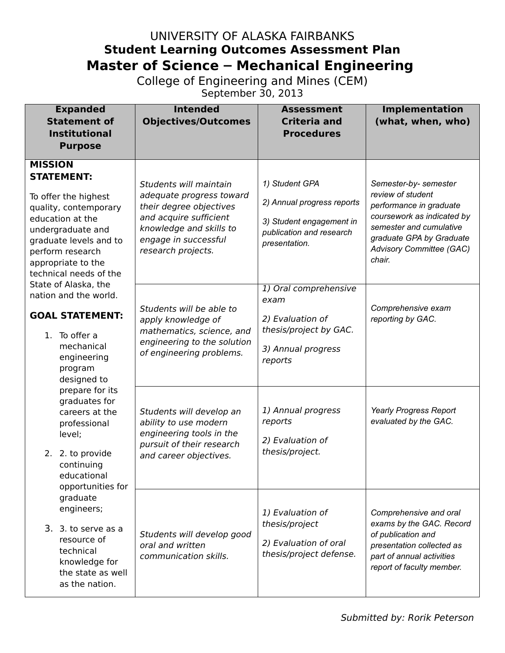## UNIVERSITY OF ALASKA FAIRBANKS **Student Learning Outcomes Assessment Plan Master of Science – Mechanical Engineering**

College of Engineering and Mines (CEM)

September 30, 2013

| <b>Expanded</b><br><b>Statement of</b><br><b>Institutional</b><br><b>Purpose</b>                                                                                                                                            | <b>Intended</b><br><b>Objectives/Outcomes</b>                                                                                                                                    | <b>Assessment</b><br><b>Criteria and</b><br><b>Procedures</b>                                                         | Implementation<br>(what, when, who)                                                                                                                                                              |
|-----------------------------------------------------------------------------------------------------------------------------------------------------------------------------------------------------------------------------|----------------------------------------------------------------------------------------------------------------------------------------------------------------------------------|-----------------------------------------------------------------------------------------------------------------------|--------------------------------------------------------------------------------------------------------------------------------------------------------------------------------------------------|
| <b>MISSION</b><br><b>STATEMENT:</b><br>To offer the highest<br>quality, contemporary<br>education at the<br>undergraduate and<br>graduate levels and to<br>perform research<br>appropriate to the<br>technical needs of the | Students will maintain<br>adequate progress toward<br>their degree objectives<br>and acquire sufficient<br>knowledge and skills to<br>engage in successful<br>research projects. | 1) Student GPA<br>2) Annual progress reports<br>3) Student engagement in<br>publication and research<br>presentation. | Semester-by- semester<br>review of student<br>performance in graduate<br>coursework as indicated by<br>semester and cumulative<br>graduate GPA by Graduate<br>Advisory Committee (GAC)<br>chair. |
| State of Alaska, the<br>nation and the world.<br><b>GOAL STATEMENT:</b><br>1. To offer a<br>mechanical<br>engineering<br>program<br>designed to                                                                             | Students will be able to<br>apply knowledge of<br>mathematics, science, and<br>engineering to the solution<br>of engineering problems.                                           | 1) Oral comprehensive<br>exam<br>2) Evaluation of<br>thesis/project by GAC.<br>3) Annual progress<br>reports          | Comprehensive exam<br>reporting by GAC.                                                                                                                                                          |
| prepare for its<br>graduates for<br>careers at the<br>professional<br>level;<br>2. 2. to provide<br>continuing<br>educational<br>opportunities for                                                                          | Students will develop an<br>ability to use modern<br>engineering tools in the<br>pursuit of their research<br>and career objectives.                                             | 1) Annual progress<br>reports<br>2) Evaluation of<br>thesis/project.                                                  | Yearly Progress Report<br>evaluated by the GAC.                                                                                                                                                  |
| graduate<br>engineers;<br>3. 3. to serve as a<br>resource of<br>technical<br>knowledge for<br>the state as well<br>as the nation.                                                                                           | Students will develop good<br>oral and written<br>communication skills.                                                                                                          | 1) Evaluation of<br>thesis/project<br>2) Evaluation of oral<br>thesis/project defense.                                | Comprehensive and oral<br>exams by the GAC. Record<br>of publication and<br>presentation collected as<br>part of annual activities<br>report of faculty member.                                  |